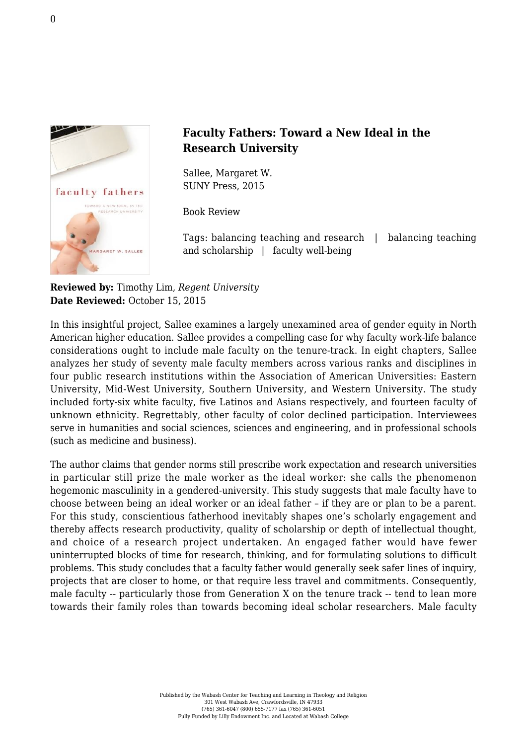

## **Faculty Fathers: Toward a New Ideal in the Research University**

Sallee, Margaret W. [SUNY Press, 2015](http://www.sunypress.edu/p-5991-faculty-fathers.aspx)

Book Review

Tags: balancing teaching and research | balancing teaching and scholarship | faculty well-being

**Reviewed by:** Timothy Lim, *Regent University* **Date Reviewed:** October 15, 2015

In this insightful project, Sallee examines a largely unexamined area of gender equity in North American higher education. Sallee provides a compelling case for why faculty work-life balance considerations ought to include male faculty on the tenure-track. In eight chapters, Sallee analyzes her study of seventy male faculty members across various ranks and disciplines in four public research institutions within the Association of American Universities: Eastern University, Mid-West University, Southern University, and Western University. The study included forty-six white faculty, five Latinos and Asians respectively, and fourteen faculty of unknown ethnicity. Regrettably, other faculty of color declined participation. Interviewees serve in humanities and social sciences, sciences and engineering, and in professional schools (such as medicine and business).

The author claims that gender norms still prescribe work expectation and research universities in particular still prize the male worker as the ideal worker: she calls the phenomenon hegemonic masculinity in a gendered-university. This study suggests that male faculty have to choose between being an ideal worker or an ideal father – if they are or plan to be a parent. For this study, conscientious fatherhood inevitably shapes one's scholarly engagement and thereby affects research productivity, quality of scholarship or depth of intellectual thought, and choice of a research project undertaken. An engaged father would have fewer uninterrupted blocks of time for research, thinking, and for formulating solutions to difficult problems. This study concludes that a faculty father would generally seek safer lines of inquiry, projects that are closer to home, or that require less travel and commitments. Consequently, male faculty -- particularly those from Generation X on the tenure track -- tend to lean more towards their family roles than towards becoming ideal scholar researchers. Male faculty